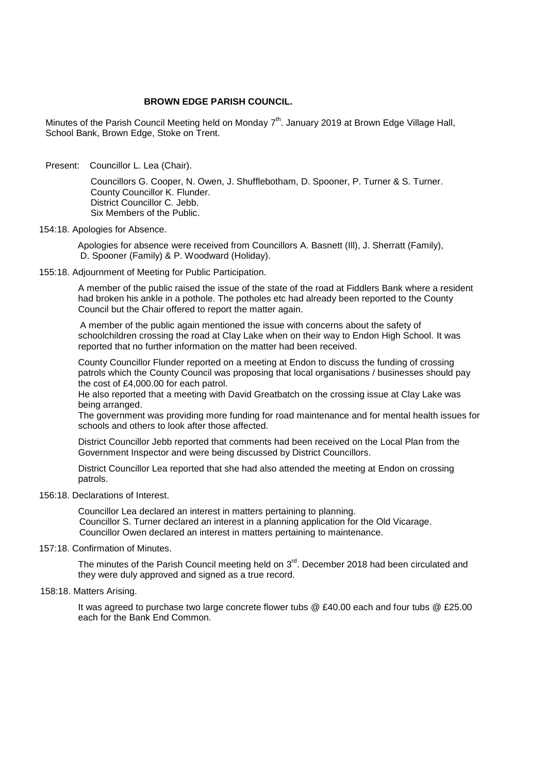# **BROWN EDGE PARISH COUNCIL.**

Minutes of the Parish Council Meeting held on Monday 7<sup>th</sup>. January 2019 at Brown Edge Village Hall, School Bank, Brown Edge, Stoke on Trent.

Present: Councillor L. Lea (Chair).

 Councillors G. Cooper, N. Owen, J. Shufflebotham, D. Spooner, P. Turner & S. Turner. County Councillor K. Flunder. District Councillor C. Jebb. Six Members of the Public.

## 154:18. Apologies for Absence.

 Apologies for absence were received from Councillors A. Basnett (Ill), J. Sherratt (Family), D. Spooner (Family) & P. Woodward (Holiday).

## 155:18. Adjournment of Meeting for Public Participation.

A member of the public raised the issue of the state of the road at Fiddlers Bank where a resident had broken his ankle in a pothole. The potholes etc had already been reported to the County Council but the Chair offered to report the matter again.

 A member of the public again mentioned the issue with concerns about the safety of schoolchildren crossing the road at Clay Lake when on their way to Endon High School. It was reported that no further information on the matter had been received.

 County Councillor Flunder reported on a meeting at Endon to discuss the funding of crossing patrols which the County Council was proposing that local organisations / businesses should pay the cost of £4,000.00 for each patrol.

He also reported that a meeting with David Greatbatch on the crossing issue at Clay Lake was being arranged.

The government was providing more funding for road maintenance and for mental health issues for schools and others to look after those affected.

District Councillor Jebb reported that comments had been received on the Local Plan from the Government Inspector and were being discussed by District Councillors.

District Councillor Lea reported that she had also attended the meeting at Endon on crossing patrols.

### 156:18. Declarations of Interest.

Councillor Lea declared an interest in matters pertaining to planning. Councillor S. Turner declared an interest in a planning application for the Old Vicarage. Councillor Owen declared an interest in matters pertaining to maintenance.

157:18. Confirmation of Minutes.

The minutes of the Parish Council meeting held on 3<sup>rd</sup>. December 2018 had been circulated and they were duly approved and signed as a true record.

158:18. Matters Arising.

It was agreed to purchase two large concrete flower tubs @ £40.00 each and four tubs @ £25.00 each for the Bank End Common.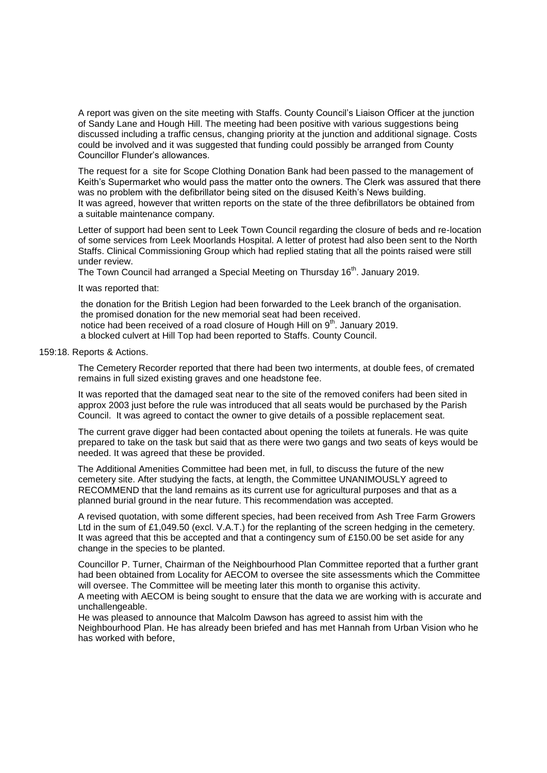A report was given on the site meeting with Staffs. County Council's Liaison Officer at the junction of Sandy Lane and Hough Hill. The meeting had been positive with various suggestions being discussed including a traffic census, changing priority at the junction and additional signage. Costs could be involved and it was suggested that funding could possibly be arranged from County Councillor Flunder's allowances.

The request for a site for Scope Clothing Donation Bank had been passed to the management of Keith's Supermarket who would pass the matter onto the owners. The Clerk was assured that there was no problem with the defibrillator being sited on the disused Keith's News building. It was agreed, however that written reports on the state of the three defibrillators be obtained from a suitable maintenance company.

Letter of support had been sent to Leek Town Council regarding the closure of beds and re-location of some services from Leek Moorlands Hospital. A letter of protest had also been sent to the North Staffs. Clinical Commissioning Group which had replied stating that all the points raised were still under review.

The Town Council had arranged a Special Meeting on Thursday  $16<sup>th</sup>$ . January 2019.

### It was reported that:

the donation for the British Legion had been forwarded to the Leek branch of the organisation. the promised donation for the new memorial seat had been received. notice had been received of a road closure of Hough Hill on 9<sup>th</sup>. January 2019. a blocked culvert at Hill Top had been reported to Staffs. County Council.

### 159:18. Reports & Actions.

The Cemetery Recorder reported that there had been two interments, at double fees, of cremated remains in full sized existing graves and one headstone fee.

It was reported that the damaged seat near to the site of the removed conifers had been sited in approx 2003 just before the rule was introduced that all seats would be purchased by the Parish Council. It was agreed to contact the owner to give details of a possible replacement seat.

The current grave digger had been contacted about opening the toilets at funerals. He was quite prepared to take on the task but said that as there were two gangs and two seats of keys would be needed. It was agreed that these be provided.

 The Additional Amenities Committee had been met, in full, to discuss the future of the new cemetery site. After studying the facts, at length, the Committee UNANIMOUSLY agreed to RECOMMEND that the land remains as its current use for agricultural purposes and that as a planned burial ground in the near future. This recommendation was accepted.

A revised quotation, with some different species, had been received from Ash Tree Farm Growers Ltd in the sum of £1,049.50 (excl. V.A.T.) for the replanting of the screen hedging in the cemetery. It was agreed that this be accepted and that a contingency sum of £150.00 be set aside for any change in the species to be planted.

Councillor P. Turner, Chairman of the Neighbourhood Plan Committee reported that a further grant had been obtained from Locality for AECOM to oversee the site assessments which the Committee will oversee. The Committee will be meeting later this month to organise this activity.

A meeting with AECOM is being sought to ensure that the data we are working with is accurate and unchallengeable.

He was pleased to announce that Malcolm Dawson has agreed to assist him with the Neighbourhood Plan. He has already been briefed and has met Hannah from Urban Vision who he has worked with before,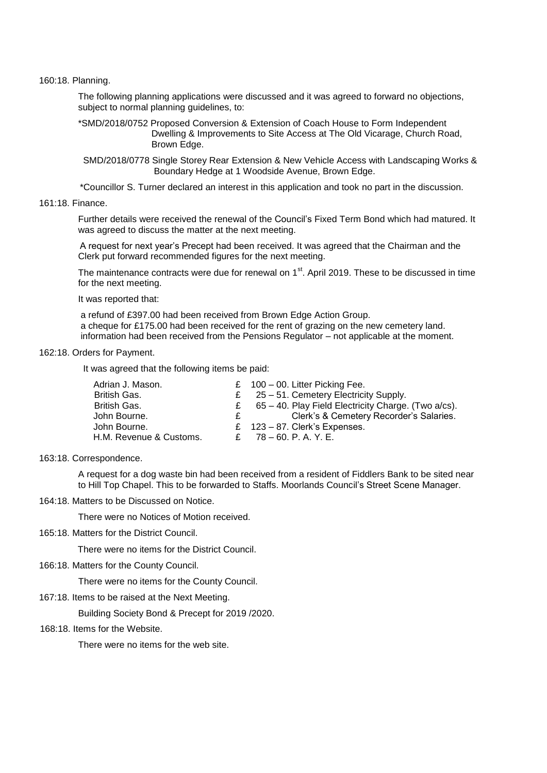160:18. Planning.

The following planning applications were discussed and it was agreed to forward no objections, subject to normal planning quidelines, to:

\*SMD/2018/0752 Proposed Conversion & Extension of Coach House to Form Independent Dwelling & Improvements to Site Access at The Old Vicarage, Church Road, Brown Edge.

 SMD/2018/0778 Single Storey Rear Extension & New Vehicle Access with Landscaping Works & Boundary Hedge at 1 Woodside Avenue, Brown Edge.

\*Councillor S. Turner declared an interest in this application and took no part in the discussion.

161:18. Finance.

Further details were received the renewal of the Council's Fixed Term Bond which had matured. It was agreed to discuss the matter at the next meeting.

 A request for next year's Precept had been received. It was agreed that the Chairman and the Clerk put forward recommended figures for the next meeting.

The maintenance contracts were due for renewal on 1<sup>st</sup>. April 2019. These to be discussed in time for the next meeting.

It was reported that:

a refund of £397.00 had been received from Brown Edge Action Group. a cheque for £175.00 had been received for the rent of grazing on the new cemetery land. information had been received from the Pensions Regulator – not applicable at the moment.

#### 162:18. Orders for Payment.

It was agreed that the following items be paid:

| Adrian J. Mason.        | £ $100 - 00$ . Litter Picking Fee.                       |
|-------------------------|----------------------------------------------------------|
| British Gas.            | $\epsilon$ 25 – 51. Cemetery Electricity Supply.         |
| British Gas.            | £ $65 - 40$ . Play Field Electricity Charge. (Two a/cs). |
| John Bourne.            | Clerk's & Cemetery Recorder's Salaries.                  |
| John Bourne.            | £ $123 - 87$ . Clerk's Expenses.                         |
| H.M. Revenue & Customs. | £ $78 - 60$ . P. A. Y. E.                                |

163:18. Correspondence.

 A request for a dog waste bin had been received from a resident of Fiddlers Bank to be sited near to Hill Top Chapel. This to be forwarded to Staffs. Moorlands Council's Street Scene Manager.

164:18. Matters to be Discussed on Notice.

There were no Notices of Motion received.

165:18. Matters for the District Council.

There were no items for the District Council.

166:18. Matters for the County Council.

There were no items for the County Council.

167:18. Items to be raised at the Next Meeting.

Building Society Bond & Precept for 2019 /2020.

168:18. Items for the Website.

There were no items for the web site.